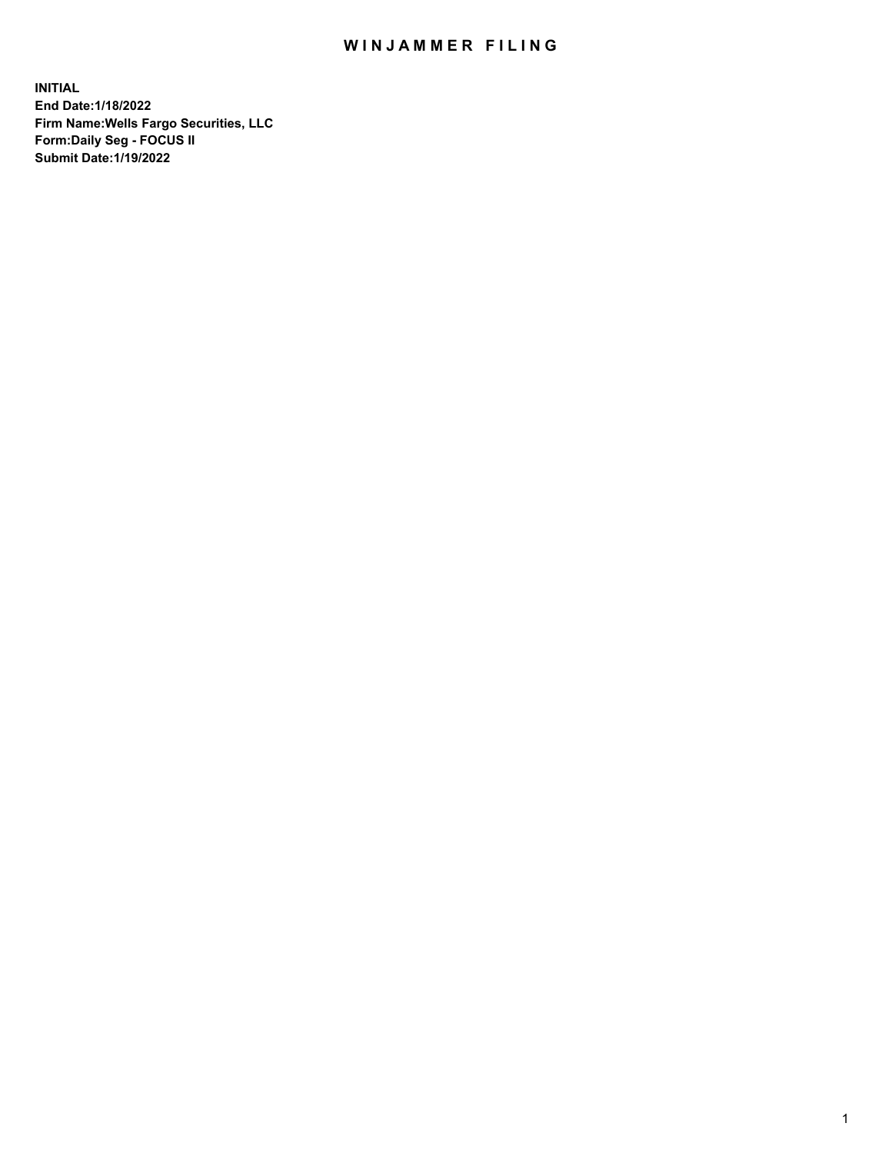## WIN JAMMER FILING

**INITIAL End Date:1/18/2022 Firm Name:Wells Fargo Securities, LLC Form:Daily Seg - FOCUS II Submit Date:1/19/2022**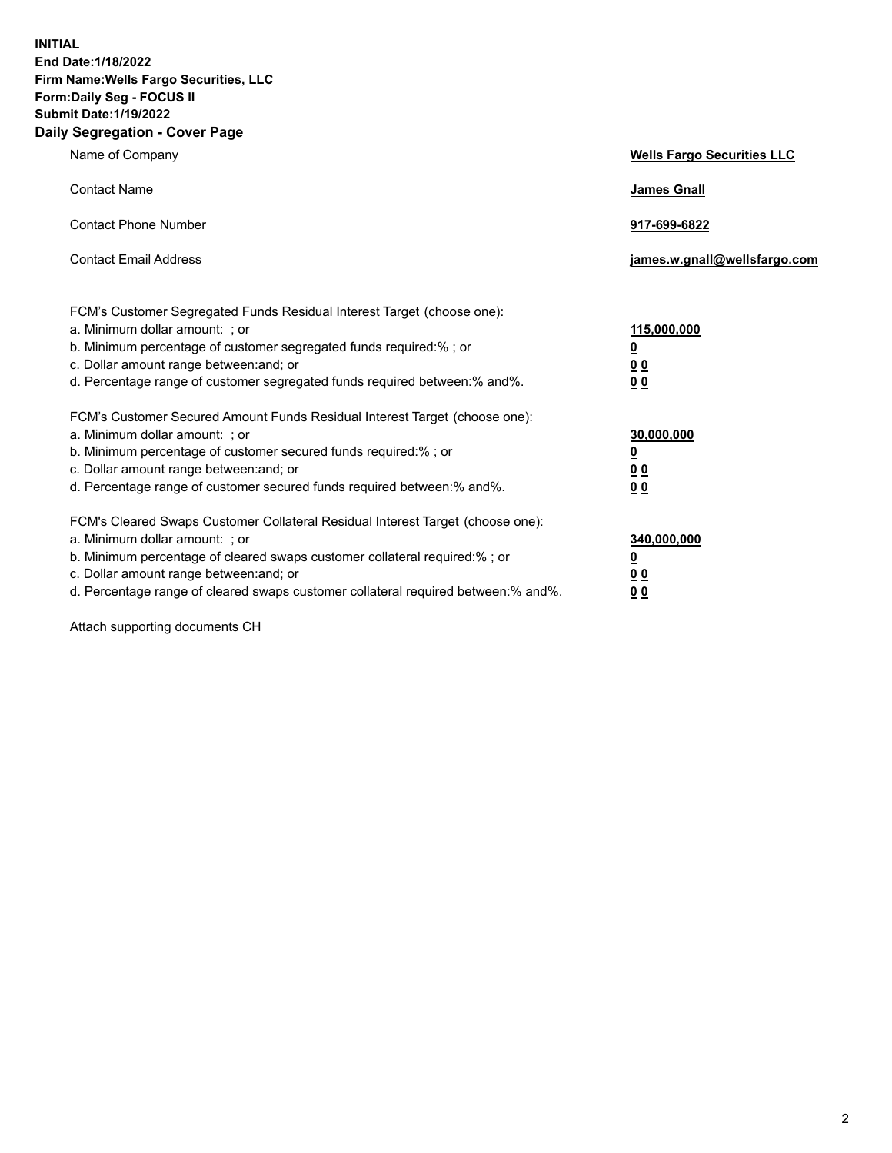**INITIAL End Date:1/18/2022 Firm Name:Wells Fargo Securities, LLC Form:Daily Seg - FOCUS II Submit Date:1/19/2022 Daily Segregation - Cover Page**

| Name of Company                                                                                                                                                                                                                                                                                                                | <b>Wells Fargo Securities LLC</b>                          |
|--------------------------------------------------------------------------------------------------------------------------------------------------------------------------------------------------------------------------------------------------------------------------------------------------------------------------------|------------------------------------------------------------|
| <b>Contact Name</b>                                                                                                                                                                                                                                                                                                            | <b>James Gnall</b>                                         |
| <b>Contact Phone Number</b>                                                                                                                                                                                                                                                                                                    | 917-699-6822                                               |
| <b>Contact Email Address</b>                                                                                                                                                                                                                                                                                                   | james.w.gnall@wellsfargo.com                               |
| FCM's Customer Segregated Funds Residual Interest Target (choose one):<br>a. Minimum dollar amount: ; or<br>b. Minimum percentage of customer segregated funds required:% ; or<br>c. Dollar amount range between: and; or<br>d. Percentage range of customer segregated funds required between:% and%.                         | 115,000,000<br><u>0</u><br>0 <sub>0</sub><br>00            |
| FCM's Customer Secured Amount Funds Residual Interest Target (choose one):<br>a. Minimum dollar amount: ; or<br>b. Minimum percentage of customer secured funds required:%; or<br>c. Dollar amount range between: and; or<br>d. Percentage range of customer secured funds required between:% and%.                            | 30,000,000<br><u>0</u><br>0 <sub>0</sub><br>0 <sub>0</sub> |
| FCM's Cleared Swaps Customer Collateral Residual Interest Target (choose one):<br>a. Minimum dollar amount: ; or<br>b. Minimum percentage of cleared swaps customer collateral required:% ; or<br>c. Dollar amount range between: and; or<br>d. Percentage range of cleared swaps customer collateral required between:% and%. | 340,000,000<br><u>0</u><br>00<br>00                        |

Attach supporting documents CH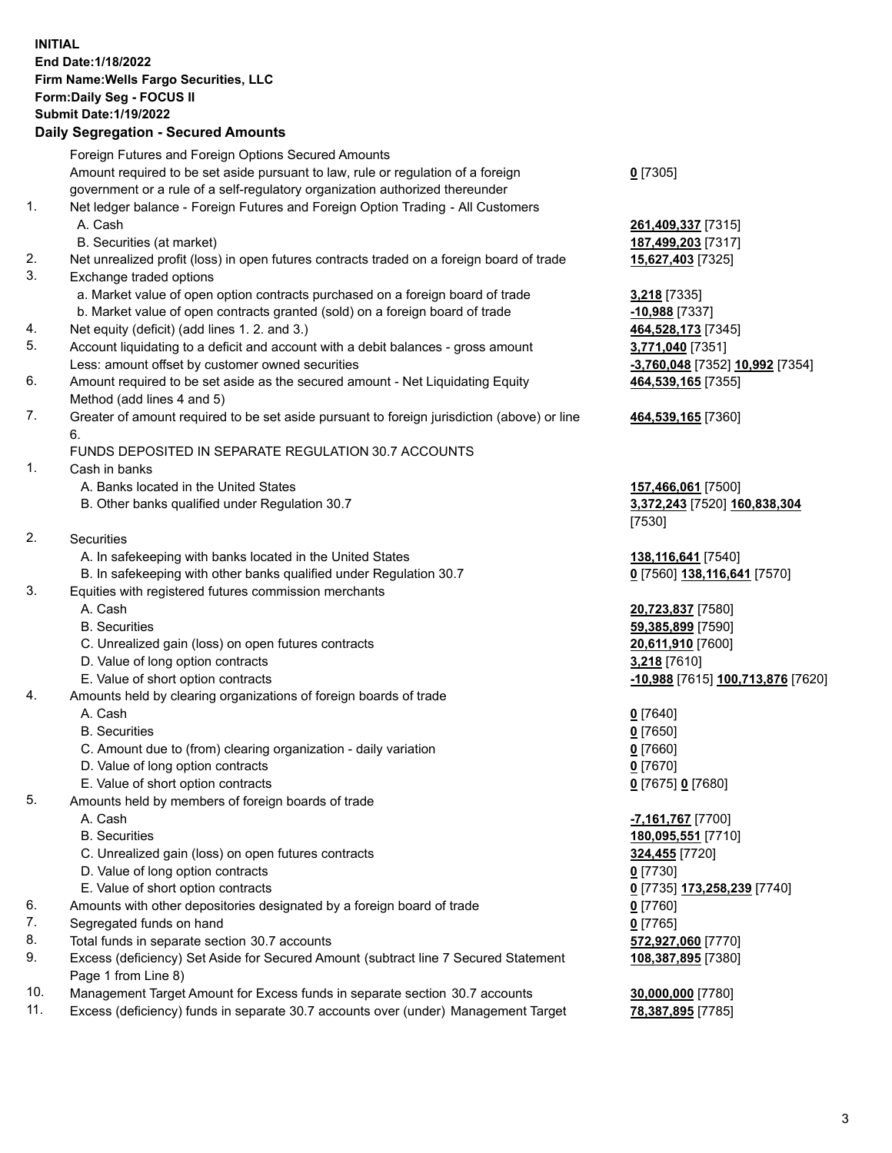**INITIAL End Date:1/18/2022 Firm Name:Wells Fargo Securities, LLC Form:Daily Seg - FOCUS II Submit Date:1/19/2022**

## **Daily Segregation - Secured Amounts**

|     | Foreign Futures and Foreign Options Secured Amounts                                         |                                    |
|-----|---------------------------------------------------------------------------------------------|------------------------------------|
|     | Amount required to be set aside pursuant to law, rule or regulation of a foreign            | $0$ [7305]                         |
|     | government or a rule of a self-regulatory organization authorized thereunder                |                                    |
| 1.  | Net ledger balance - Foreign Futures and Foreign Option Trading - All Customers             |                                    |
|     | A. Cash                                                                                     | 261,409,337 [7315]                 |
|     | B. Securities (at market)                                                                   | 187,499,203 [7317]                 |
| 2.  | Net unrealized profit (loss) in open futures contracts traded on a foreign board of trade   | 15,627,403 [7325]                  |
| 3.  | Exchange traded options                                                                     |                                    |
|     | a. Market value of open option contracts purchased on a foreign board of trade              | 3,218 [7335]                       |
|     | b. Market value of open contracts granted (sold) on a foreign board of trade                | $-10,988$ [7337]                   |
| 4.  | Net equity (deficit) (add lines 1. 2. and 3.)                                               | 464,528,173 [7345]                 |
| 5.  | Account liquidating to a deficit and account with a debit balances - gross amount           | 3,771,040 [7351]                   |
|     | Less: amount offset by customer owned securities                                            | -3,760,048 [7352] 10,992 [7354]    |
| 6.  | Amount required to be set aside as the secured amount - Net Liquidating Equity              | 464,539,165 [7355]                 |
|     | Method (add lines 4 and 5)                                                                  |                                    |
| 7.  | Greater of amount required to be set aside pursuant to foreign jurisdiction (above) or line | 464,539,165 [7360]                 |
|     | 6.                                                                                          |                                    |
|     | FUNDS DEPOSITED IN SEPARATE REGULATION 30.7 ACCOUNTS                                        |                                    |
| 1.  | Cash in banks                                                                               |                                    |
|     | A. Banks located in the United States                                                       | 157,466,061 [7500]                 |
|     | B. Other banks qualified under Regulation 30.7                                              | 3,372,243 [7520] 160,838,304       |
|     |                                                                                             | [7530]                             |
| 2.  | Securities                                                                                  |                                    |
|     | A. In safekeeping with banks located in the United States                                   | 138,116,641 [7540]                 |
|     | B. In safekeeping with other banks qualified under Regulation 30.7                          | 0 [7560] 138,116,641 [7570]        |
| 3.  | Equities with registered futures commission merchants                                       |                                    |
|     | A. Cash                                                                                     | 20,723,837 [7580]                  |
|     | <b>B.</b> Securities                                                                        | 59,385,899 [7590]                  |
|     | C. Unrealized gain (loss) on open futures contracts                                         | 20,611,910 [7600]                  |
|     | D. Value of long option contracts                                                           | 3,218 [7610]                       |
|     | E. Value of short option contracts                                                          | -10,988 [7615] 100,713,876 [7620]  |
| 4.  | Amounts held by clearing organizations of foreign boards of trade                           |                                    |
|     | A. Cash                                                                                     | $0$ [7640]                         |
|     | <b>B.</b> Securities                                                                        | $0$ [7650]                         |
|     | C. Amount due to (from) clearing organization - daily variation                             | $0$ [7660]                         |
|     | D. Value of long option contracts                                                           | $0$ [7670]                         |
|     | E. Value of short option contracts                                                          | 0 [7675] 0 [7680]                  |
| 5.  | Amounts held by members of foreign boards of trade                                          |                                    |
|     | A. Cash                                                                                     | -7,161,767 [7700]                  |
|     | <b>B.</b> Securities                                                                        | 180,095,551 [7710]                 |
|     | C. Unrealized gain (loss) on open futures contracts                                         | 324,455 [7720]                     |
|     | D. Value of long option contracts                                                           | $0$ [7730]                         |
|     | E. Value of short option contracts                                                          | <u>0</u> [7735] 173,258,239 [7740] |
| 6.  | Amounts with other depositories designated by a foreign board of trade                      | 0 [7760]                           |
| 7.  | Segregated funds on hand                                                                    | $0$ [7765]                         |
| 8.  | Total funds in separate section 30.7 accounts                                               | 572,927,060 [7770]                 |
| 9.  | Excess (deficiency) Set Aside for Secured Amount (subtract line 7 Secured Statement         | 108,387,895 [7380]                 |
|     | Page 1 from Line 8)                                                                         |                                    |
| 10. | Management Target Amount for Excess funds in separate section 30.7 accounts                 | 30,000,000 [7780]                  |

- 
- 11. Excess (deficiency) funds in separate 30.7 accounts over (under) Management Target **78,387,895** [7785]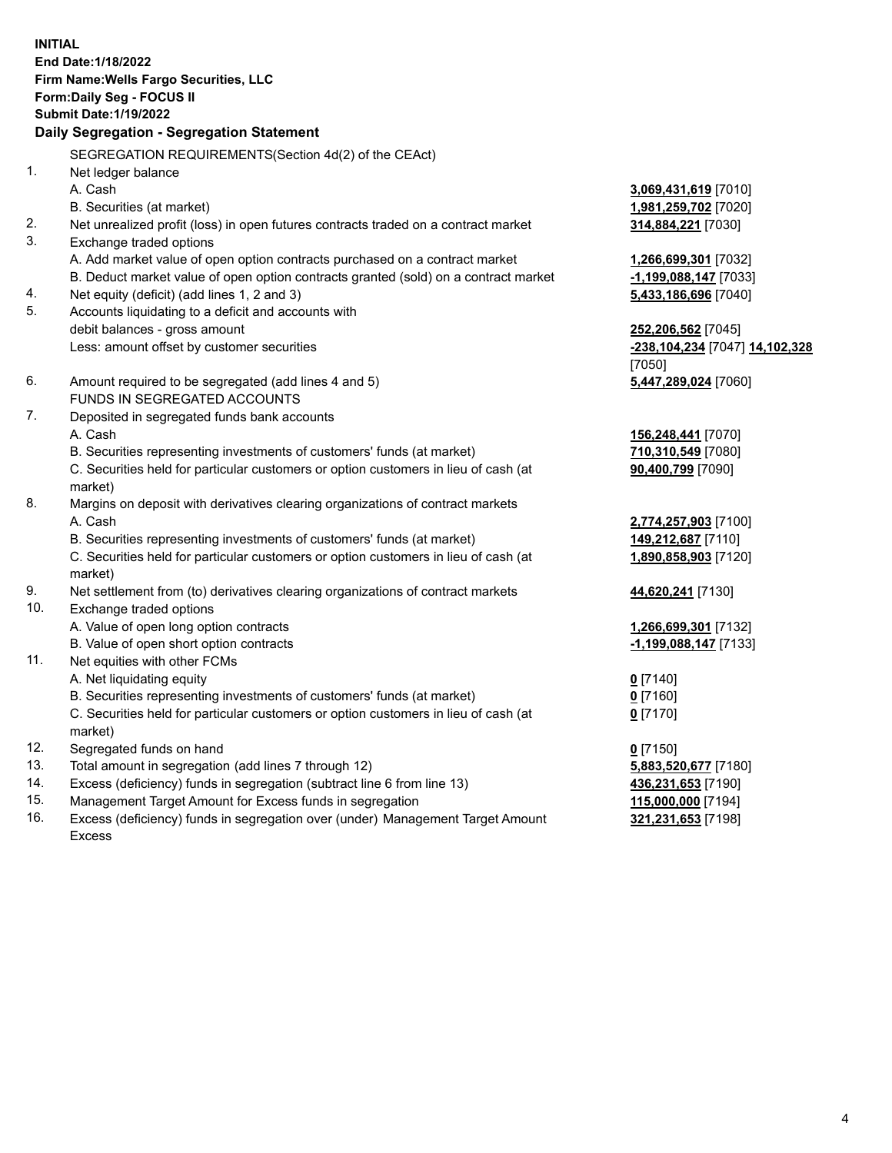**INITIAL End Date:1/18/2022 Firm Name:Wells Fargo Securities, LLC Form:Daily Seg - FOCUS II Submit Date:1/19/2022 Daily Segregation - Segregation Statement** SEGREGATION REQUIREMENTS(Section 4d(2) of the CEAct) 1. Net ledger balance A. Cash **3,069,431,619** [7010] B. Securities (at market) **1,981,259,702** [7020] 2. Net unrealized profit (loss) in open futures contracts traded on a contract market **314,884,221** [7030] 3. Exchange traded options A. Add market value of open option contracts purchased on a contract market **1,266,699,301** [7032] B. Deduct market value of open option contracts granted (sold) on a contract market **-1,199,088,147** [7033] 4. Net equity (deficit) (add lines 1, 2 and 3) **5,433,186,696** [7040] 5. Accounts liquidating to a deficit and accounts with debit balances - gross amount **252,206,562** [7045] Less: amount offset by customer securities **-238,104,234** [7047] **14,102,328** [7050] 6. Amount required to be segregated (add lines 4 and 5) **5,447,289,024** [7060] FUNDS IN SEGREGATED ACCOUNTS 7. Deposited in segregated funds bank accounts A. Cash **156,248,441** [7070] B. Securities representing investments of customers' funds (at market) **710,310,549** [7080] C. Securities held for particular customers or option customers in lieu of cash (at market) **90,400,799** [7090] 8. Margins on deposit with derivatives clearing organizations of contract markets A. Cash **2,774,257,903** [7100] B. Securities representing investments of customers' funds (at market) **149,212,687** [7110] C. Securities held for particular customers or option customers in lieu of cash (at market) **1,890,858,903** [7120] 9. Net settlement from (to) derivatives clearing organizations of contract markets **44,620,241** [7130] 10. Exchange traded options A. Value of open long option contracts **1,266,699,301** [7132] B. Value of open short option contracts **-1,199,088,147** [7133] 11. Net equities with other FCMs A. Net liquidating equity **0** [7140] B. Securities representing investments of customers' funds (at market) **0** [7160] C. Securities held for particular customers or option customers in lieu of cash (at market) **0** [7170] 12. Segregated funds on hand **0** [7150] 13. Total amount in segregation (add lines 7 through 12) **5,883,520,677** [7180] 14. Excess (deficiency) funds in segregation (subtract line 6 from line 13) **436,231,653** [7190]

- 15. Management Target Amount for Excess funds in segregation **115,000,000** [7194]
- 16. Excess (deficiency) funds in segregation over (under) Management Target Amount Excess

**321,231,653** [7198]